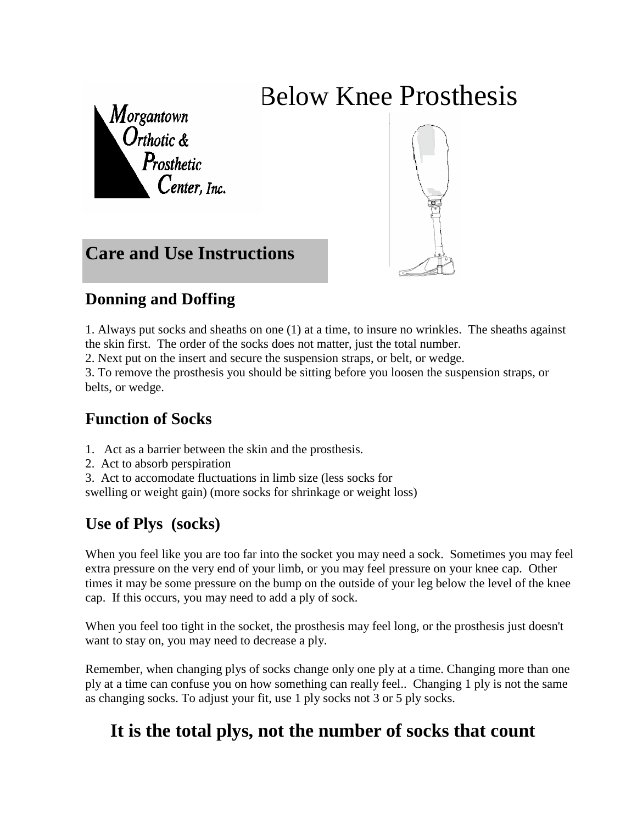# Below Knee Prosthesis

 $M$ organtown Orthotic &<br>Prosthetic  $\emph{Center}$ , Inc.



### **Care and Use Instructions**

#### **Donning and Doffing**

1. Always put socks and sheaths on one (1) at a time, to insure no wrinkles. The sheaths against the skin first. The order of the socks does not matter, just the total number.

2. Next put on the insert and secure the suspension straps, or belt, or wedge.

3. To remove the prosthesis you should be sitting before you loosen the suspension straps, or belts, or wedge.

#### **Function of Socks**

- 1. Act as a barrier between the skin and the prosthesis.
- 2. Act to absorb perspiration
- 3. Act to accomodate fluctuations in limb size (less socks for

swelling or weight gain) (more socks for shrinkage or weight loss)

#### **Use of Plys (socks)**

When you feel like you are too far into the socket you may need a sock. Sometimes you may feel extra pressure on the very end of your limb, or you may feel pressure on your knee cap. Other times it may be some pressure on the bump on the outside of your leg below the level of the knee cap. If this occurs, you may need to add a ply of sock.

When you feel too tight in the socket, the prosthesis may feel long, or the prosthesis just doesn't want to stay on, you may need to decrease a ply.

Remember, when changing plys of socks change only one ply at a time. Changing more than one ply at a time can confuse you on how something can really feel.. Changing 1 ply is not the same as changing socks. To adjust your fit, use 1 ply socks not 3 or 5 ply socks.

## **It is the total plys, not the number of socks that count**